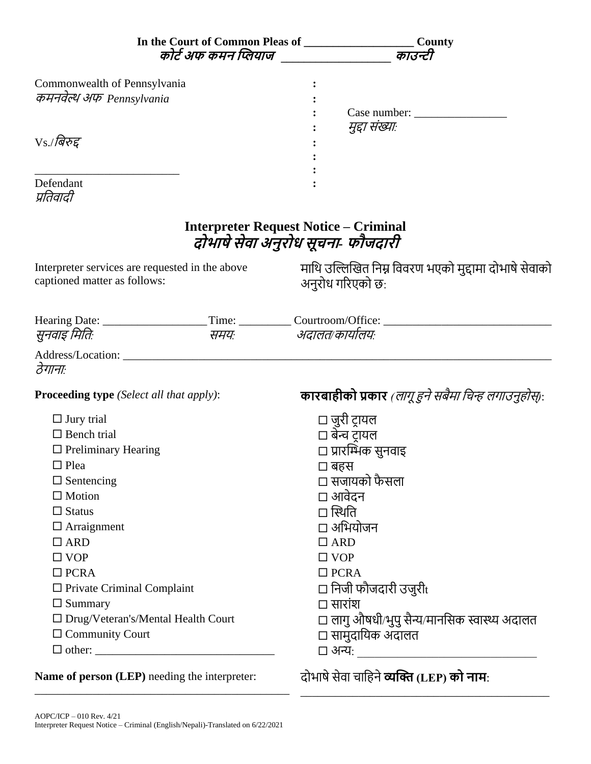|                                                                                                                                                                                                                                                                                                                                            | <b>County</b><br>कोर्ट अफ कमन प्लियाज _________________ काउन्टी                                                                                                                                                                                                                                    |
|--------------------------------------------------------------------------------------------------------------------------------------------------------------------------------------------------------------------------------------------------------------------------------------------------------------------------------------------|----------------------------------------------------------------------------------------------------------------------------------------------------------------------------------------------------------------------------------------------------------------------------------------------------|
| Commonwealth of Pennsylvania<br>कमनवेल्थ अफ Pennsylvania<br>$Vs$ ./बिरुद्द<br>Defendant<br>प्रतिवादी                                                                                                                                                                                                                                       | मुद्दा संख्याः                                                                                                                                                                                                                                                                                     |
|                                                                                                                                                                                                                                                                                                                                            | <b>Interpreter Request Notice – Criminal</b><br>दोभाषे सेवा अनुरोध सूचना- फौजदारी                                                                                                                                                                                                                  |
| Interpreter services are requested in the above<br>captioned matter as follows:                                                                                                                                                                                                                                                            | माथि उल्लिखित निम्न विवरण भएको मुद्दामा दोभाषे सेवाको<br>अनुरोध गरिएको छ:                                                                                                                                                                                                                          |
| सुनवाइ मितिः                                                                                                                                                                                                                                                                                                                               | Hearing Date: _________________________Time: ____________Courtroom/Office: _________________________<br>समयः अदालत/कार्यालयः                                                                                                                                                                       |
| ठेगानाः<br><b>Proceeding type</b> (Select all that apply):                                                                                                                                                                                                                                                                                 | <b>कारबाहीको प्रकार</b> (लागू हुने सबैमा चिन्ह लगाउनुहोस्):                                                                                                                                                                                                                                        |
| $\Box$ Jury trial<br>$\Box$ Bench trial<br>$\Box$ Preliminary Hearing<br>$\Box$ Plea<br>$\Box$ Sentencing<br>$\Box$ Motion<br>$\Box$ Status<br>$\Box$ Arraignment<br>$\Box$ ARD<br>$\Box$ VOP<br>$\Box$ PCRA<br>$\Box$ Private Criminal Complaint<br>$\Box$ Summary<br>$\Box$ Drug/Veteran's/Mental Health Court<br>$\Box$ Community Court | $\Box$ जुरी ट्रायल<br>□ बेन्च टायल<br>□ प्रारम्भिक सुनवाइ<br>□ बहस<br>□ सजायको फैसला<br>□ आवेदन<br>□ स्थिति<br>□ अभियोजन<br>$\Box$ ARD<br>$\Box$ VOP<br>$\Box$ PCRA<br>$\Box$ निजी फौजदारी उजुरी $_{\rm t}$<br>$\Box$ सारांश<br>□ लागु औषधी/भुपु सैन्य/मानसिक स्वास्थ्य अदालत<br>□ सामुदायिक अदालत |
| Name of person (LEP) needing the interpreter:                                                                                                                                                                                                                                                                                              | दोभाषे सेवा चाहिने <b>व्यक्ति</b> (LEP) <b>को नाम</b> :                                                                                                                                                                                                                                            |

\_\_\_\_\_\_\_\_\_\_\_\_\_\_\_\_\_\_\_\_\_\_\_\_\_\_\_\_\_\_\_\_\_\_\_\_\_\_\_\_\_\_\_

\_\_\_\_\_\_\_\_\_\_\_\_\_\_\_\_\_\_\_\_\_\_\_\_\_\_\_\_\_\_\_\_\_\_\_\_\_\_\_\_\_\_\_\_